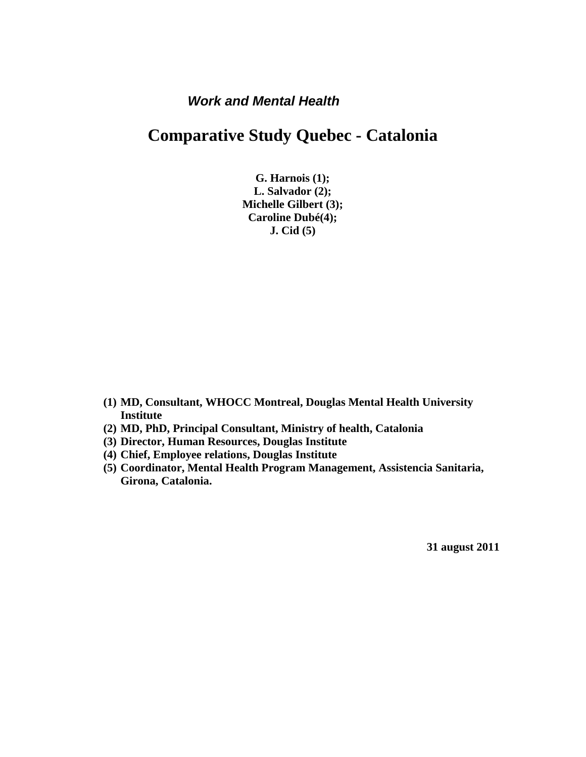## *Work and Mental Health*

## **Comparative Study Quebec - Catalonia**

**G. Harnois (1); L. Salvador (2); Michelle Gilbert (3); Caroline Dubé(4); J. Cid (5)**

- **(1) MD, Consultant, WHOCC Montreal, Douglas Mental Health University Institute**
- **(2) MD, PhD, Principal Consultant, Ministry of health, Catalonia**
- **(3) Director, Human Resources, Douglas Institute**
- **(4) Chief, Employee relations, Douglas Institute**
- **(5) Coordinator, Mental Health Program Management, Assistencia Sanitaria, Girona, Catalonia.**

**31 august 2011**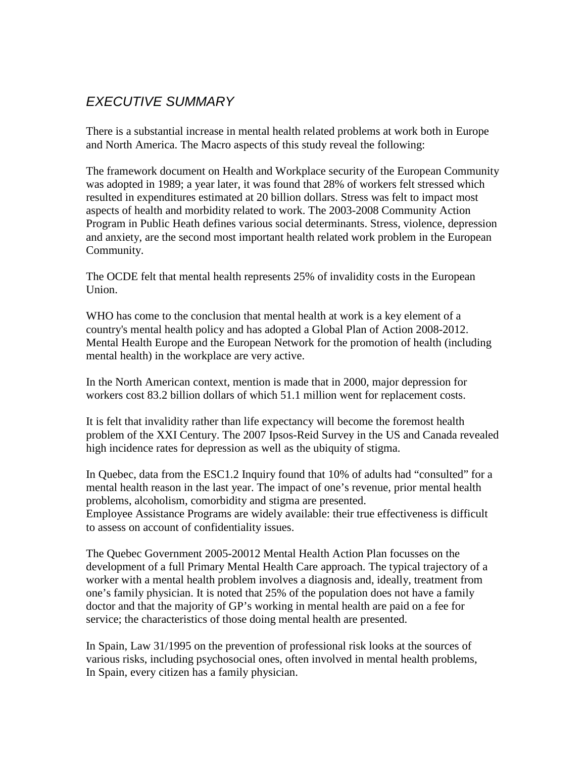## *EXECUTIVE SUMMARY*

There is a substantial increase in mental health related problems at work both in Europe and North America. The Macro aspects of this study reveal the following:

The framework document on Health and Workplace security of the European Community was adopted in 1989; a year later, it was found that 28% of workers felt stressed which resulted in expenditures estimated at 20 billion dollars. Stress was felt to impact most aspects of health and morbidity related to work. The 2003-2008 Community Action Program in Public Heath defines various social determinants. Stress, violence, depression and anxiety, are the second most important health related work problem in the European Community.

The OCDE felt that mental health represents 25% of invalidity costs in the European Union.

WHO has come to the conclusion that mental health at work is a key element of a country's mental health policy and has adopted a Global Plan of Action 2008-2012. Mental Health Europe and the European Network for the promotion of health (including mental health) in the workplace are very active.

In the North American context, mention is made that in 2000, major depression for workers cost 83.2 billion dollars of which 51.1 million went for replacement costs.

It is felt that invalidity rather than life expectancy will become the foremost health problem of the XXI Century. The 2007 Ipsos-Reid Survey in the US and Canada revealed high incidence rates for depression as well as the ubiquity of stigma.

In Quebec, data from the ESC1.2 Inquiry found that 10% of adults had "consulted" for a mental health reason in the last year. The impact of one's revenue, prior mental health problems, alcoholism, comorbidity and stigma are presented. Employee Assistance Programs are widely available: their true effectiveness is difficult to assess on account of confidentiality issues.

The Quebec Government 2005-20012 Mental Health Action Plan focusses on the development of a full Primary Mental Health Care approach. The typical trajectory of a worker with a mental health problem involves a diagnosis and, ideally, treatment from one's family physician. It is noted that 25% of the population does not have a family doctor and that the majority of GP's working in mental health are paid on a fee for service; the characteristics of those doing mental health are presented.

In Spain, Law 31/1995 on the prevention of professional risk looks at the sources of various risks, including psychosocial ones, often involved in mental health problems, In Spain, every citizen has a family physician.